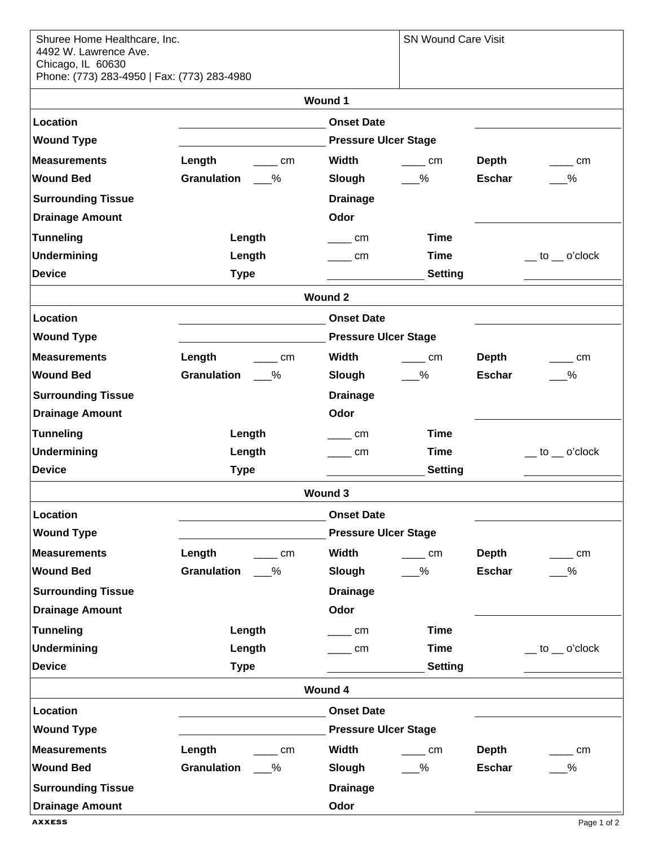| Shuree Home Healthcare, Inc.<br>4492 W. Lawrence Ave.<br>Chicago, IL 60630<br>Phone: (773) 283-4950   Fax: (773) 283-4980 |                             |                             | <b>SN Wound Care Visit</b> |               |                              |  |  |
|---------------------------------------------------------------------------------------------------------------------------|-----------------------------|-----------------------------|----------------------------|---------------|------------------------------|--|--|
| <b>Wound 1</b>                                                                                                            |                             |                             |                            |               |                              |  |  |
| Location                                                                                                                  |                             | <b>Onset Date</b>           |                            |               |                              |  |  |
| <b>Wound Type</b>                                                                                                         |                             | <b>Pressure Ulcer Stage</b> |                            |               |                              |  |  |
| <b>Measurements</b>                                                                                                       | Length<br><b>Example 1</b>  | Width                       | <b>Example 20</b>          | Depth         | <b>cm</b>                    |  |  |
| <b>Wound Bed</b>                                                                                                          | Granulation %               | Slough                      | $\%$                       | <b>Eschar</b> | $\%$                         |  |  |
| <b>Surrounding Tissue</b>                                                                                                 |                             | <b>Drainage</b>             |                            |               |                              |  |  |
| <b>Drainage Amount</b>                                                                                                    |                             | Odor                        |                            |               |                              |  |  |
| <b>Tunneling</b>                                                                                                          | Length                      | <b>cm</b>                   | <b>Time</b>                |               |                              |  |  |
| Undermining                                                                                                               | Length                      | <b>cm</b>                   | <b>Time</b>                |               | $\equiv$ to $\equiv$ o'clock |  |  |
| <b>Device</b>                                                                                                             | <b>Type</b>                 |                             | <b>Setting</b>             |               |                              |  |  |
| <b>Wound 2</b>                                                                                                            |                             |                             |                            |               |                              |  |  |
| Location                                                                                                                  |                             | <b>Onset Date</b>           |                            |               |                              |  |  |
| <b>Wound Type</b>                                                                                                         |                             | <b>Pressure Ulcer Stage</b> |                            |               |                              |  |  |
| <b>Measurements</b>                                                                                                       | Length<br><b>Example 20</b> | Width                       | $\frac{1}{2}$ cm           | Depth         | <b>Example 1</b>             |  |  |
| <b>Wound Bed</b>                                                                                                          | Granulation 4               | Slough                      | $\%$                       | <b>Eschar</b> | $\%$                         |  |  |
| <b>Surrounding Tissue</b>                                                                                                 |                             | <b>Drainage</b>             |                            |               |                              |  |  |
| <b>Drainage Amount</b>                                                                                                    |                             | Odor                        |                            |               |                              |  |  |
| <b>Tunneling</b>                                                                                                          | Length                      | cm                          | <b>Time</b>                |               |                              |  |  |
| Undermining                                                                                                               | Length                      | <b>Example 1</b>            | <b>Time</b>                |               | $\_\_$ to $\_\_$ o'clock     |  |  |
| <b>Device</b>                                                                                                             | <b>Type</b>                 |                             | <b>Setting</b>             |               |                              |  |  |
| <b>Wound 3</b>                                                                                                            |                             |                             |                            |               |                              |  |  |
| Location<br><b>Onset Date</b>                                                                                             |                             |                             |                            |               |                              |  |  |
| <b>Wound Type</b>                                                                                                         |                             | <b>Pressure Ulcer Stage</b> |                            |               |                              |  |  |
| <b>Measurements</b>                                                                                                       | Length<br>$\sqrt{2}$ cm     | Width                       | cm<br>$\sim$               | <b>Depth</b>  | <b>cm</b>                    |  |  |
| <b>Wound Bed</b>                                                                                                          | <b>Granulation</b><br>$\%$  | Slough                      | $-$ %                      | <b>Eschar</b> | $-\frac{9}{6}$               |  |  |
| <b>Surrounding Tissue</b>                                                                                                 |                             | <b>Drainage</b>             |                            |               |                              |  |  |
| <b>Drainage Amount</b>                                                                                                    |                             | Odor                        |                            |               |                              |  |  |
| <b>Tunneling</b>                                                                                                          | Length                      | cm                          | <b>Time</b>                |               |                              |  |  |
| <b>Undermining</b>                                                                                                        | Length                      | cm                          | <b>Time</b>                |               | $\_\_$ to $\_\_$ o'clock     |  |  |
| <b>Device</b>                                                                                                             | <b>Type</b>                 |                             | <b>Setting</b>             |               |                              |  |  |
| <b>Wound 4</b>                                                                                                            |                             |                             |                            |               |                              |  |  |
| Location                                                                                                                  |                             | <b>Onset Date</b>           |                            |               |                              |  |  |
| <b>Wound Type</b>                                                                                                         |                             | <b>Pressure Ulcer Stage</b> |                            |               |                              |  |  |
| <b>Measurements</b>                                                                                                       | Length<br>cm                | Width                       | cm                         | <b>Depth</b>  | <b>cm</b>                    |  |  |
| <b>Wound Bed</b>                                                                                                          | Granulation<br>$\%$         | Slough                      | $\%$                       | <b>Eschar</b> | $-\frac{9}{6}$               |  |  |
| <b>Surrounding Tissue</b>                                                                                                 |                             | <b>Drainage</b>             |                            |               |                              |  |  |
| <b>Drainage Amount</b>                                                                                                    |                             | Odor                        |                            |               |                              |  |  |